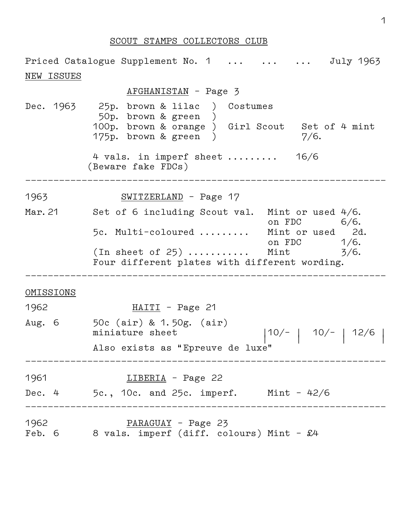## SCOUT STAMPS COLLECTORS CLUB

Priced Catalogue Supplement No. 1 ... ... ... July 1963 NEW ISSUES AFGHANISTAN – Page 3 Dec. 1963 25p. brown & lilac ) Costumes 50p. brown & green ) 100p. brown & orange ) Girl Scout Set of 4 mint  $175p.$  brown & green )  $7/6.$  4 vals. in imperf sheet ......... 16/6 (Beware fake FDCs) \_\_\_\_\_\_\_\_\_\_\_\_\_\_\_\_\_\_\_\_\_\_\_\_\_\_\_\_\_\_\_\_\_\_\_\_\_\_\_\_\_\_\_\_\_\_\_\_\_\_\_\_\_\_\_\_\_\_\_\_\_\_\_\_ 1963 SWITZERLAND – Page 17 Mar. 21 Set of 6 including Scout val. Mint or used 4/6. on FDC 6/6. 5c. Multi–coloured ......... Mint or used 2d. on FDC 1/6. (In sheet of  $25)$  ............ Mint  $3/6$ . Four different plates with different wording. \_\_\_\_\_\_\_\_\_\_\_\_\_\_\_\_\_\_\_\_\_\_\_\_\_\_\_\_\_\_\_\_\_\_\_\_\_\_\_\_\_\_\_\_\_\_\_\_\_\_\_\_\_\_\_\_\_\_\_\_\_\_\_\_ OMISSIONS 1962 HAITI – Page 21 Aug. 6 50c (air) & 1.50g. (air) miniature sheet  $|10/-| 10/-| 12/6$  Also exists as "Epreuve de luxe" \_\_\_\_\_\_\_\_\_\_\_\_\_\_\_\_\_\_\_\_\_\_\_\_\_\_\_\_\_\_\_\_\_\_\_\_\_\_\_\_\_\_\_\_\_\_\_\_\_\_\_\_\_\_\_\_\_\_\_\_\_\_\_\_ 1961 **LIBERIA** – Page 22 Dec. 4 5c., 10c. and 25c. imperf. Mint – 42/6 \_\_\_\_\_\_\_\_\_\_\_\_\_\_\_\_\_\_\_\_\_\_\_\_\_\_\_\_\_\_\_\_\_\_\_\_\_\_\_\_\_\_\_\_\_\_\_\_\_\_\_\_\_\_\_\_\_\_\_\_\_\_\_\_ 1962 PARAGUAY – Page 23 Feb. 6 8 vals. imperf (diff. colours) Mint -  $\pounds4$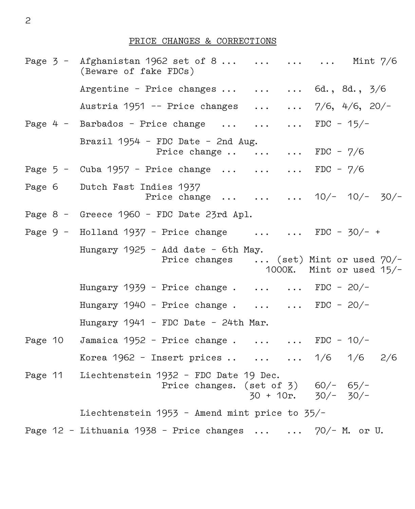## PRICE CHANGES & CORRECTIONS

|        | Page $3$ - Afghanistan 1962 set of 8    Mint $7/6$<br>(Beware of fake FDCs)                                        |
|--------|--------------------------------------------------------------------------------------------------------------------|
|        | Argentine - Price changes $\ldots$ 6d., 8d., 3/6                                                                   |
|        | Austria 1951 -- Price changes   7/6, 4/6, 20/-                                                                     |
|        | Page 4 - Barbados - Price change    FDC - $15/-$                                                                   |
|        | Brazil $1954$ - FDC Date - 2nd Aug.<br>Price change $\ldots$ FDC - $7/6$                                           |
|        | Page $5$ - Cuba 1957 - Price change    FDC - $7/6$                                                                 |
| Page 6 | Dutch Fast Indies 1937<br>Price change    10/- 10/- 30/-                                                           |
|        | Page 8 - Greece 1960 - FDC Date 23rd Apl.                                                                          |
|        | Page $9$ - Holland $1937$ - Price change   FDC - $30/-$ +                                                          |
|        | Hungary 1925 - Add date - 6th May.<br>Price changes  (set) Mint or used 70/-<br>1000K. Mint or used $15/-$         |
|        | Hungary $1939$ - Price change.   FDC - 20/-                                                                        |
|        | Hungary $1940$ - Price change.   FDC - 20/-                                                                        |
|        | Hungary 1941 - FDC Date - 24th Mar.                                                                                |
|        | Page 10 Jamaica 1952 - Price change  FDC - $10/-$                                                                  |
|        | Korea 1962 - Insert prices    1/6 1/6 2/6                                                                          |
|        | Page 11 Liechtenstein 1932 - FDC Date 19 Dec.<br>Price changes. (set of 3) $60/- 65/-$<br>$30 + 10$ r. $30/- 30/-$ |
|        | Liechtenstein 1953 - Amend mint price to 35/-                                                                      |
|        | Page $12$ - Lithuania $1938$ - Price changes $70/-$ M. or U.                                                       |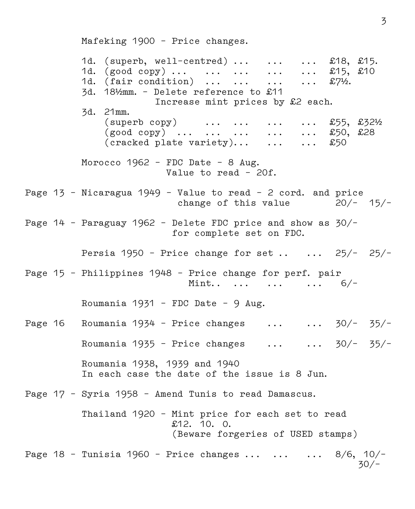Mafeking 1900 – Price changes.

1d. (superb, well-centred) ... ... ... £18, £15.<br>1d. (good copy) ... ... ... ... ... £15. £10 1d. (good copy) ...  $\cdots$  ...  $\cdots$  ...  $\cdots$ 1d. (fair condition) ... ... ... ... £7%. 3d. 18½mm. – Delete reference to £11 Increase mint prices by £2 each. 3d. 21mm.  $(superb copy)$  ... ... ... ...  $$55, $32\%$  $(good copy)$  ... ... ... ... ... £50, £28 (cracked plate variety)... ... ... £50 Morocco 1962 – FDC Date – 8 Aug. Value to read – 20f. Page  $13$  - Nicaragua  $1949$  - Value to read - 2 cord. and price<br>change of this value  $20/- 15/$ change of this value Page 14 – Paraguay 1962 – Delete FDC price and show as 30/– for complete set on FDC. Persia 1950 - Price change for set ..  $\ldots$  25/- 25/-Page 15 – Philippines 1948 – Price change for perf. pair Mint.. ... ... ... 6/- Roumania 1931 – FDC Date – 9 Aug. Page 16 Roumania 1934 - Price changes  $\ldots$   $\ldots$  30/- 35/-Roumania 1935 - Price changes  $\ldots$   $\ldots$  30/- 35/- Roumania 1938, 1939 and 1940 In each case the date of the issue is 8 Jun. Page 17 – Syria 1958 – Amend Tunis to read Damascus. Thailand 1920 – Mint price for each set to read £12. 10. O. (Beware forgeries of USED stamps) Page 18 - Tunisia 1960 - Price changes  $\dots$   $\dots$   $\dots$  8/6, 10/-<br>30/- $30/-$